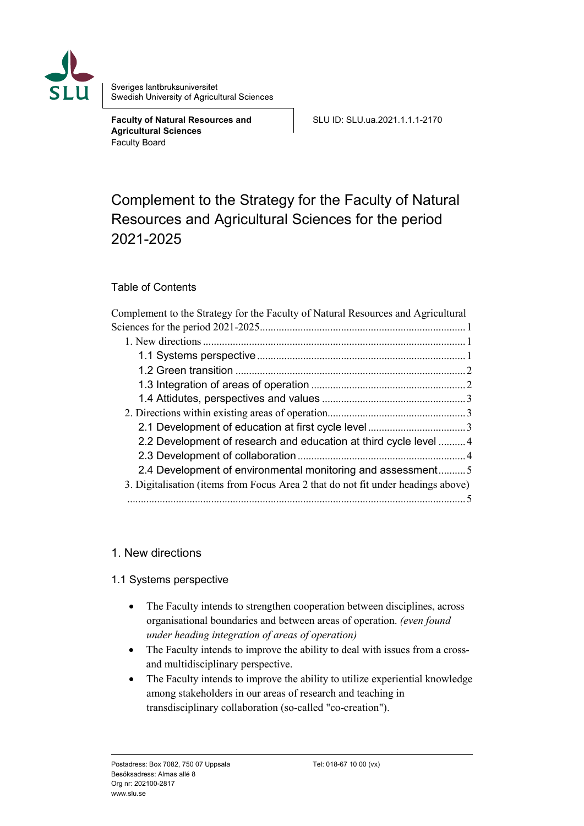

Sveriges lantbruksuniversitet Swedish University of Agricultural Sciences

**Faculty of Natural Resources and Agricultural Sciences** Faculty Board

SLU ID: SLU.ua.2021.1.1.1-2170

# <span id="page-0-0"></span>Complement to the Strategy for the Faculty of Natural Resources and Agricultural Sciences for the period 2021-2025

# Table of Contents

| Complement to the Strategy for the Faculty of Natural Resources and Agricultural |  |
|----------------------------------------------------------------------------------|--|
|                                                                                  |  |
|                                                                                  |  |
|                                                                                  |  |
|                                                                                  |  |
|                                                                                  |  |
|                                                                                  |  |
|                                                                                  |  |
|                                                                                  |  |
| 2.2 Development of research and education at third cycle level 4                 |  |
|                                                                                  |  |
| 2.4 Development of environmental monitoring and assessment5                      |  |
| 3. Digitalisation (items from Focus Area 2 that do not fit under headings above) |  |
|                                                                                  |  |

# <span id="page-0-1"></span>1. New directions

#### <span id="page-0-2"></span>1.1 Systems perspective

- The Faculty intends to strengthen cooperation between disciplines, across organisational boundaries and between areas of operation. *(even found under heading integration of areas of operation)*
- The Faculty intends to improve the ability to deal with issues from a crossand multidisciplinary perspective.
- The Faculty intends to improve the ability to utilize experiential knowledge among stakeholders in our areas of research and teaching in transdisciplinary collaboration (so-called "co-creation").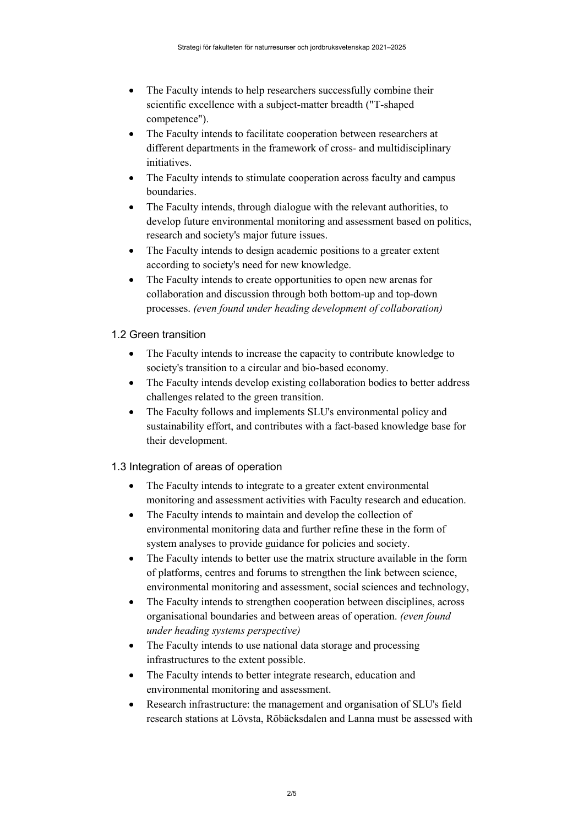- The Faculty intends to help researchers successfully combine their scientific excellence with a subject-matter breadth ("T-shaped competence").
- The Faculty intends to facilitate cooperation between researchers at different departments in the framework of cross- and multidisciplinary initiatives.
- The Faculty intends to stimulate cooperation across faculty and campus boundaries.
- The Faculty intends, through dialogue with the relevant authorities, to develop future environmental monitoring and assessment based on politics, research and society's major future issues.
- The Faculty intends to design academic positions to a greater extent according to society's need for new knowledge.
- The Faculty intends to create opportunities to open new arenas for collaboration and discussion through both bottom-up and top-down processes. *(even found under heading development of collaboration)*

#### <span id="page-1-0"></span>1.2 Green transition

- The Faculty intends to increase the capacity to contribute knowledge to society's transition to a circular and bio-based economy.
- The Faculty intends develop existing collaboration bodies to better address challenges related to the green transition.
- The Faculty follows and implements SLU's environmental policy and sustainability effort, and contributes with a fact-based knowledge base for their development.

# <span id="page-1-1"></span>1.3 Integration of areas of operation

- The Faculty intends to integrate to a greater extent environmental monitoring and assessment activities with Faculty research and education.
- The Faculty intends to maintain and develop the collection of environmental monitoring data and further refine these in the form of system analyses to provide guidance for policies and society.
- The Faculty intends to better use the matrix structure available in the form of platforms, centres and forums to strengthen the link between science, environmental monitoring and assessment, social sciences and technology,
- The Faculty intends to strengthen cooperation between disciplines, across organisational boundaries and between areas of operation. *(even found under heading systems perspective)*
- The Faculty intends to use national data storage and processing infrastructures to the extent possible.
- The Faculty intends to better integrate research, education and environmental monitoring and assessment.
- Research infrastructure: the management and organisation of SLU's field research stations at Lövsta, Röbäcksdalen and Lanna must be assessed with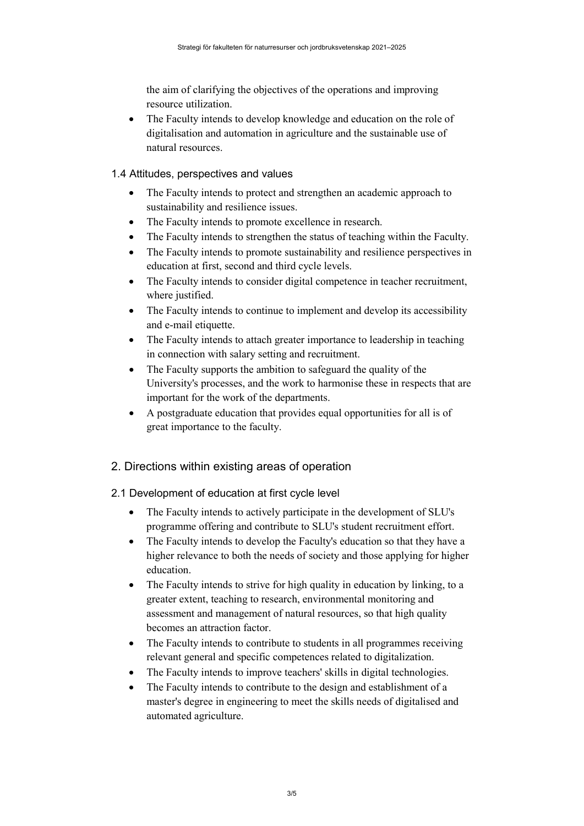the aim of clarifying the objectives of the operations and improving resource utilization.

• The Faculty intends to develop knowledge and education on the role of digitalisation and automation in agriculture and the sustainable use of natural resources.

#### <span id="page-2-0"></span>1.4 Attitudes, perspectives and values

- The Faculty intends to protect and strengthen an academic approach to sustainability and resilience issues.
- The Faculty intends to promote excellence in research.
- The Faculty intends to strengthen the status of teaching within the Faculty.
- The Faculty intends to promote sustainability and resilience perspectives in education at first, second and third cycle levels.
- The Faculty intends to consider digital competence in teacher recruitment, where justified.
- The Faculty intends to continue to implement and develop its accessibility and e-mail etiquette.
- The Faculty intends to attach greater importance to leadership in teaching in connection with salary setting and recruitment.
- The Faculty supports the ambition to safeguard the quality of the University's processes, and the work to harmonise these in respects that are important for the work of the departments.
- A postgraduate education that provides equal opportunities for all is of great importance to the faculty.

# <span id="page-2-1"></span>2. Directions within existing areas of operation

- <span id="page-2-2"></span>2.1 Development of education at first cycle level
	- The Faculty intends to actively participate in the development of SLU's programme offering and contribute to SLU's student recruitment effort.
	- The Faculty intends to develop the Faculty's education so that they have a higher relevance to both the needs of society and those applying for higher education.
	- The Faculty intends to strive for high quality in education by linking, to a greater extent, teaching to research, environmental monitoring and assessment and management of natural resources, so that high quality becomes an attraction factor.
	- The Faculty intends to contribute to students in all programmes receiving relevant general and specific competences related to digitalization.
	- The Faculty intends to improve teachers' skills in digital technologies.
	- The Faculty intends to contribute to the design and establishment of a master's degree in engineering to meet the skills needs of digitalised and automated agriculture.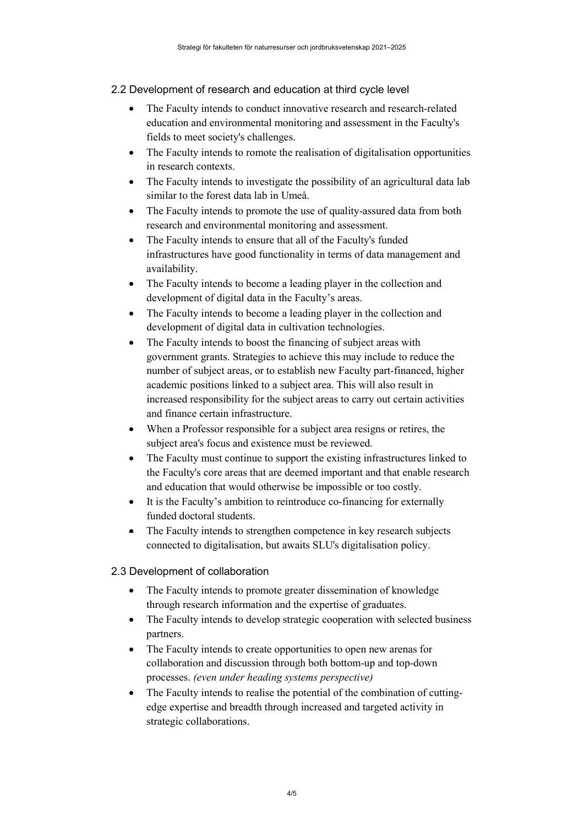#### <span id="page-3-0"></span>2.2 Development of research and education at third cycle level

- The Faculty intends to conduct innovative research and research-related education and environmental monitoring and assessment in the Faculty's fields to meet society's challenges.
- The Faculty intends to romote the realisation of digitalisation opportunities in research contexts.
- The Faculty intends to investigate the possibility of an agricultural data lab similar to the forest data lab in Umeå.
- The Faculty intends to promote the use of quality-assured data from both research and environmental monitoring and assessment.
- The Faculty intends to ensure that all of the Faculty's funded infrastructures have good functionality in terms of data management and availability.
- The Faculty intends to become a leading player in the collection and development of digital data in the Faculty's areas.
- The Faculty intends to become a leading player in the collection and development of digital data in cultivation technologies.
- The Faculty intends to boost the financing of subject areas with government grants. Strategies to achieve this may include to reduce the number of subject areas, or to establish new Faculty part-financed, higher academic positions linked to a subject area. This will also result in increased responsibility for the subject areas to carry out certain activities and finance certain infrastructure.
- When a Professor responsible for a subject area resigns or retires, the subject area's focus and existence must be reviewed.
- The Faculty must continue to support the existing infrastructures linked to the Faculty's core areas that are deemed important and that enable research and education that would otherwise be impossible or too costly.
- It is the Faculty's ambition to reintroduce co-financing for externally funded doctoral students.
- The Faculty intends to strengthen competence in key research subjects connected to digitalisation, but awaits SLU's digitalisation policy.

# <span id="page-3-1"></span>2.3 Development of collaboration

- The Faculty intends to promote greater dissemination of knowledge through research information and the expertise of graduates.
- The Faculty intends to develop strategic cooperation with selected business partners.
- The Faculty intends to create opportunities to open new arenas for collaboration and discussion through both bottom-up and top-down processes. *(even under heading systems perspective)*
- The Faculty intends to realise the potential of the combination of cuttingedge expertise and breadth through increased and targeted activity in strategic collaborations.